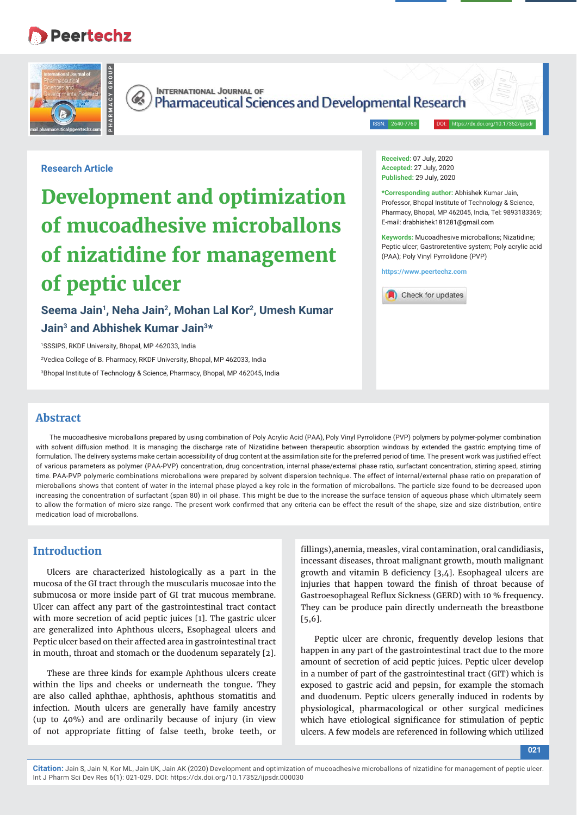# **Peertechz**





**INTERNATIONAL JOURNAL OF Pharmaceutical Sciences and Developmental Research** 

ISSN: 2640-7760

**Research Article**

# **Development and optimization of mucoadhesive microballons of nizatidine for management of peptic ulcer**

Seema Jain<sup>1</sup>, Neha Jain<sup>2</sup>, Mohan Lal Kor<sup>2</sup>, Umesh Kumar **Jain3 and Abhishek Kumar Jain3\*** 

1 SSSIPS, RKDF University, Bhopal, MP 462033, India 2 Vedica College of B. Pharmacy, RKDF University, Bhopal, MP 462033, India 3 Bhopal Institute of Technology & Science, Pharmacy, Bhopal, MP 462045, India **Received:** 07 July, 2020 **Accepted:** 27 July, 2020 **Published:** 29 July, 2020

**\*Corresponding author:** Abhishek Kumar Jain, Professor, Bhopal Institute of Technology & Science, Pharmacy, Bhopal, MP 462045, India, Tel: 9893183369; E-mail: drabhishek181281@gmail.com

**Keywords:** Mucoadhesive microballons; Nizatidine; Peptic ulcer; Gastroretentive system; Poly acrylic acid (PAA); Poly Vinyl Pyrrolidone (PVP)

**https://www.peertechz.com**



### **Abstract**

The mucoadhesive microballons prepared by using combination of Poly Acrylic Acid (PAA), Poly Vinyl Pyrrolidone (PVP) polymers by polymer-polymer combination with solvent diffusion method. It is managing the discharge rate of Nizatidine between therapeutic absorption windows by extended the gastric emptying time of formulation. The delivery systems make certain accessibility of drug content at the assimilation site for the preferred period of time. The present work was justified effect of various parameters as polymer (PAA-PVP) concentration, drug concentration, internal phase/external phase ratio, surfactant concentration, stirring speed, stirring time. PAA-PVP polymeric combinations microballons were prepared by solvent dispersion technique. The effect of internal/external phase ratio on preparation of microballons shows that content of water in the internal phase played a key role in the formation of microballons. The particle size found to be decreased upon increasing the concentration of surfactant (span 80) in oil phase. This might be due to the increase the surface tension of aqueous phase which ultimately seem to allow the formation of micro size range. The present work confirmed that any criteria can be effect the result of the shape, size and size distribution, entire medication load of microballons.

# **Introduction**

Ulcers are characterized histologically as a part in the mucosa of the GI tract through the muscularis mucosae into the submucosa or more inside part of GI trat mucous membrane. Ulcer can affect any part of the gastrointestinal tract contact with more secretion of acid peptic juices [1]. The gastric ulcer are generalized into Aphthous ulcers, Esophageal ulcers and Peptic ulcer based on their affected area in gastrointestinal tract in mouth, throat and stomach or the duodenum separately [2].

These are three kinds for example Aphthous ulcers create within the lips and cheeks or underneath the tongue. They are also called aphthae, aphthosis, aphthous stomatitis and infection. Mouth ulcers are generally have family ancestry (up to 40%) and are ordinarily because of injury (in view of not appropriate fitting of false teeth, broke teeth, or

fillings), anemia, measles, viral contamination, oral candidiasis, incessant diseases, throat malignant growth, mouth malignant growth and vitamin B deficiency  $[3,4]$ . Esophageal ulcers are injuries that happen toward the finish of throat because of Gastroesophageal Reflux Sickness (GERD) with 10 % frequency. They can be produce pain directly underneath the breastbone [5,6].

Peptic ulcer are chronic, frequently develop lesions that happen in any part of the gastrointestinal tract due to the more amount of secretion of acid peptic juices. Peptic ulcer develop in a number of part of the gastrointestinal tract (GIT) which is exposed to gastric acid and pepsin, for example the stomach and duodenum. Peptic ulcers generally induced in rodents by physiological, pharmacological or other surgical medicines which have etiological significance for stimulation of peptic ulcers. A few models are referenced in following which utilized

**021**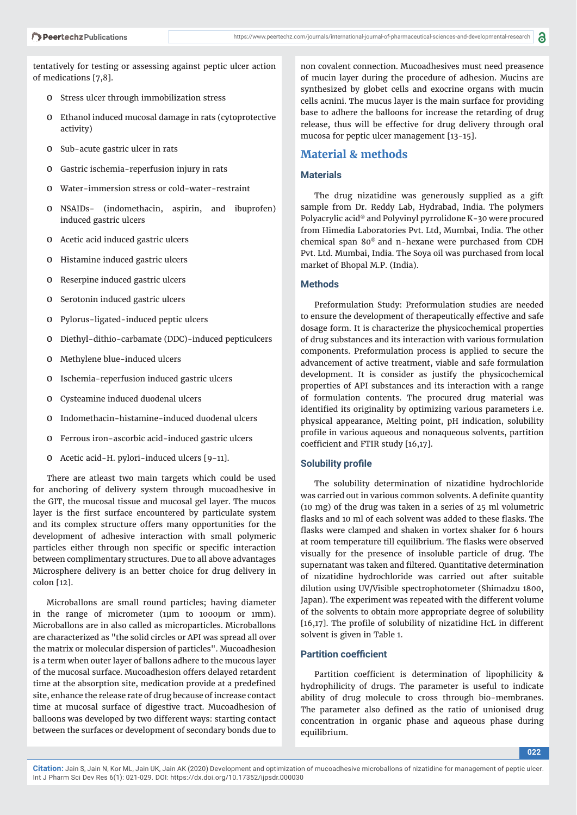tentatively for testing or assessing against peptic ulcer action of medications [7,8].

- o Stress ulcer through immobilization stress
- o Ethanol induced mucosal damage in rats (cytoprotective activity)
- o Sub-acute gastric ulcer in rats
- o Gastric ischemia-reperfusion injury in rats
- o Water-immersion stress or cold-water-restraint
- o NSAIDs- (indomethacin, aspirin, and ibuprofen) induced gastric ulcers
- o Acetic acid induced gastric ulcers
- o Histamine induced gastric ulcers
- o Reserpine induced gastric ulcers
- o Serotonin induced gastric ulcers
- o Pylorus-ligated-induced peptic ulcers
- o Diethyl-dithio-carbamate (DDC)-induced pepticulcers
- o Methylene blue-induced ulcers
- o Ischemia-reperfusion induced gastric ulcers
- o Cysteamine induced duodenal ulcers
- o Indomethacin-histamine-induced duodenal ulcers
- o Ferrous iron-ascorbic acid-induced gastric ulcers
- o Acetic acid-H. pylori-induced ulcers [9-11].

There are atleast two main targets which could be used for anchoring of delivery system through mucoadhesive in the GIT, the mucosal tissue and mucosal gel layer. The mucos layer is the first surface encountered by particulate system and its complex structure offers many opportunities for the development of adhesive interaction with small polymeric particles either through non specific or specific interaction between complimentary structures. Due to all above advantages Microsphere delivery is an better choice for drug delivery in colon [12].

Microballons are small round particles; having diameter in the range of micrometer (1μm to 1000μm or 1mm). Microballons are in also called as microparticles. Microballons are characterized as "the solid circles or API was spread all over the matrix or molecular dispersion of particles". Mucoadhesion is a term when outer layer of ballons adhere to the mucous layer of the mucosal surface. Mucoadhesion offers delayed retardent time at the absorption site, medication provide at a predefined site, enhance the release rate of drug because of increase contact time at mucosal surface of digestive tract. Mucoadhesion of balloons was developed by two different ways: starting contact between the surfaces or development of secondary bonds due to

non covalent connection. Mucoadhesives must need preasence of mucin layer during the procedure of adhesion. Mucins are synthesized by globet cells and exocrine organs with mucin cells acnini. The mucus layer is the main surface for providing base to adhere the balloons for increase the retarding of drug release, thus will be effective for drug delivery through oral mucosa for peptic ulcer management [13-15].

# **Material & methods**

#### **Materials**

The drug nizatidine was generously supplied as a gift sample from Dr. Reddy Lab, Hydrabad, India. The polymers Polyacrylic acid® and Polyvinyl pyrrolidone K-30 were procured from Himedia Laboratories Pvt. Ltd, Mumbai, India. The other chemical span 80® and n-hexane were purchased from CDH Pvt. Ltd. Mumbai, India. The Soya oil was purchased from local market of Bhopal M.P. (India).

#### **Methods**

Preformulation Study: Preformulation studies are needed to ensure the development of therapeutically effective and safe dosage form. It is characterize the physicochemical properties of drug substances and its interaction with various formulation components. Preformulation process is applied to secure the advancement of active treatment, viable and safe formulation development. It is consider as justify the physicochemical properties of API substances and its interaction with a range of formulation contents. The procured drug material was identified its originality by optimizing various parameters i.e. physical appearance, Melting point, pH indication, solubility profile in various aqueous and nonaqueous solvents, partition coefficient and FTIR study [16,17].

#### **Solubility profile**

The solubility determination of nizatidine hydrochloride was carried out in various common solvents. A definite quantity (10 mg) of the drug was taken in a series of 25 ml volumetric flasks and 10 ml of each solvent was added to these flasks. The flasks were clamped and shaken in vortex shaker for 6 hours at room temperature till equilibrium. The flasks were observed visually for the presence of insoluble particle of drug. The supernatant was taken and filtered. Quantitative determination of nizatidine hydrochloride was carried out after suitable dilution using UV/Visible spectrophotometer (Shimadzu 1800, Japan). The experiment was repeated with the different volume of the solvents to obtain more appropriate degree of solubility  $[16,17]$ . The profile of solubility of nizatidine HcL in different solvent is given in Table 1.

#### **Partition coefficient**

Partition coefficient is determination of lipophilicity & hydrophilicity of drugs. The parameter is useful to indicate ability of drug molecule to cross through bio-membranes. The parameter also defined as the ratio of unionised drug concentration in organic phase and aqueous phase during equilibrium.

**Citation:** Jain S, Jain N, Kor ML, Jain UK, Jain AK (2020) Development and optimization of mucoadhesive microballons of nizatidine for management of peptic ulcer. Int J Pharm Sci Dev Res 6(1): 021-029. DOI: https://dx.doi.org/10.17352/ijpsdr.000030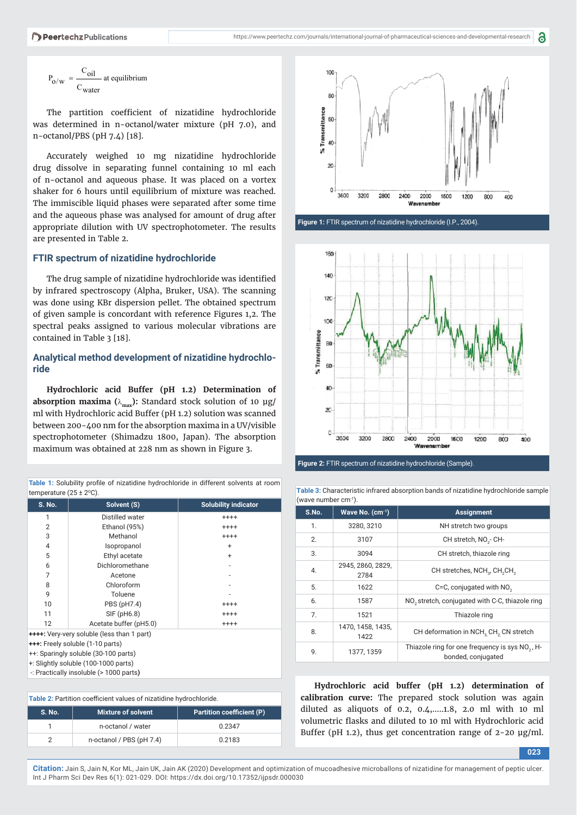$$
P_{O/w} = \frac{C_{oil}}{C_{water}} \text{ at equilibrium}
$$

The partition coefficient of nizatidine hydrochloride was determined in n-octanol/water mixture (pH 7.0), and n-octanol/PBS (pH 7.4) [18].

Accurately weighed 10 mg nizatidine hydrochloride drug dissolve in separating funnel containing 10 ml each of n-octanol and aqueous phase. It was placed on a vortex shaker for 6 hours until equilibrium of mixture was reached. The immiscible liquid phases were separated after some time and the aqueous phase was analysed for amount of drug after appropriate dilution with UV spectrophotometer. The results are presented in Table 2.

#### **FTIR spectrum of nizatidine hydrochloride**

The drug sample of nizatidine hydrochloride was identified by infrared spectroscopy (Alpha, Bruker, USA). The scanning was done using KBr dispersion pellet. The obtained spectrum of given sample is concordant with reference Figures 1,2. The spectral peaks assigned to various molecular vibrations are contained in Table 3 [18].

#### **Analytical method development of nizatidine hydrochloride**

**Hydrochloric acid Buffer (pH 1.2) Determination of absorption maxima (** $\lambda_{\text{max}}$ **): Standard stock solution of 10 µg/** ml with Hydrochloric acid Buffer (pH 1.2) solution was scanned between 200-400 nm for the absorption maxima in a UV/visible spectrophotometer (Shimadzu 1800, Japan). The absorption maximum was obtained at 228 nm as shown in Figure 3.

Table 1: Solubility profile of nizatidine hydrochloride in different solvents at room

| temperature $(25 \pm 2^{\circ}C)$ .               |                        |                             |  |  |
|---------------------------------------------------|------------------------|-----------------------------|--|--|
| S. No.                                            | Solvent (S)            | <b>Solubility indicator</b> |  |  |
| 1                                                 | Distilled water        | $^{+++}$                    |  |  |
| 2                                                 | Ethanol (95%)          | $^{+++}$                    |  |  |
| 3                                                 | Methanol               | $^{+++}$                    |  |  |
| 4                                                 | Isopropanol            | $\ddot{}$                   |  |  |
| 5                                                 | Ethyl acetate          | $\ddot{}$                   |  |  |
| 6                                                 | Dichloromethane        |                             |  |  |
| 7                                                 | Acetone                |                             |  |  |
| 8                                                 | Chloroform             |                             |  |  |
| 9                                                 | Toluene                |                             |  |  |
| 10                                                | PBS (pH7.4)            | $^{+++}$                    |  |  |
| 11                                                | SIF (pH6.8)            | $^{+++}$                    |  |  |
| 12                                                | Acetate buffer (pH5.0) | $^{+++}$                    |  |  |
| <b>++++:</b> Very-very soluble (less than 1 part) |                        |                             |  |  |
| <b>+++:</b> Freely soluble (1-10 parts)           |                        |                             |  |  |
| ++: Sparingly soluble (30-100 parts)              |                        |                             |  |  |

++: Sparingly soluble (30-100 parts) +: Slightly soluble (100-1000 parts)

-: Practically insoluble (> 1000 parts**)**

| Table 2: Partition coefficient values of nizatidine hydrochloride. |                                                               |        |  |
|--------------------------------------------------------------------|---------------------------------------------------------------|--------|--|
| <b>S. No.</b>                                                      | <b>Mixture of solvent</b><br><b>Partition coefficient (P)</b> |        |  |
|                                                                    | n-octanol / water                                             | 0.2347 |  |
| 2                                                                  | n-octanol / PBS (pH 7.4)                                      | 0.2183 |  |



**Figure 1:** FTIR spectrum of nizatidine hydrochloride (I.P., 2004).



**Figure 2:** FTIR spectrum of nizatidine hydrochloride (Sample).

| (wave number $cm^{-1}$ ). |                           |                                                                                   |  |
|---------------------------|---------------------------|-----------------------------------------------------------------------------------|--|
| S.No.                     | Wave No. $(cm-1)$         | <b>Assignment</b>                                                                 |  |
| 1.                        | 3280, 3210                | NH stretch two groups                                                             |  |
| 2.                        | 3107                      | CH stretch, NO <sub>3</sub> - CH-                                                 |  |
| 3.                        | 3094                      | CH stretch, thiazole ring                                                         |  |
| 4.                        | 2945, 2860, 2829,<br>2784 | CH stretches, NCH <sub>2</sub> , CH <sub>2</sub> CH <sub>2</sub>                  |  |
| 5.                        | 1622                      | C=C, conjugated with NO <sub>2</sub>                                              |  |
| 6.                        | 1587                      | NO <sub>2</sub> stretch, conjugated with C-C, thiazole ring                       |  |
| 7.                        | 1521                      | Thiazole ring                                                                     |  |
| 8.                        | 1470, 1458, 1435,<br>1422 | CH deformation in NCH <sub>2</sub> CH <sub>2</sub> CN stretch                     |  |
| 9.                        | 1377, 1359                | Thiazole ring for one frequency is sys NO <sub>2</sub> , H-<br>bonded, conjugated |  |

**Table 3:** Characteristic infrared absorption bands of nizatidine hydrochloride sample

**Hydrochloric acid buffer (pH 1.2) determination of calibration curve:** The prepared stock solution was again diluted as aliquots of 0.2, 0.4,…..1.8, 2.0 ml with 10 ml volumetric flasks and diluted to 10 ml with Hydrochloric acid Buffer (pH 1.2), thus get concentration range of 2-20 μg/ml.

**023**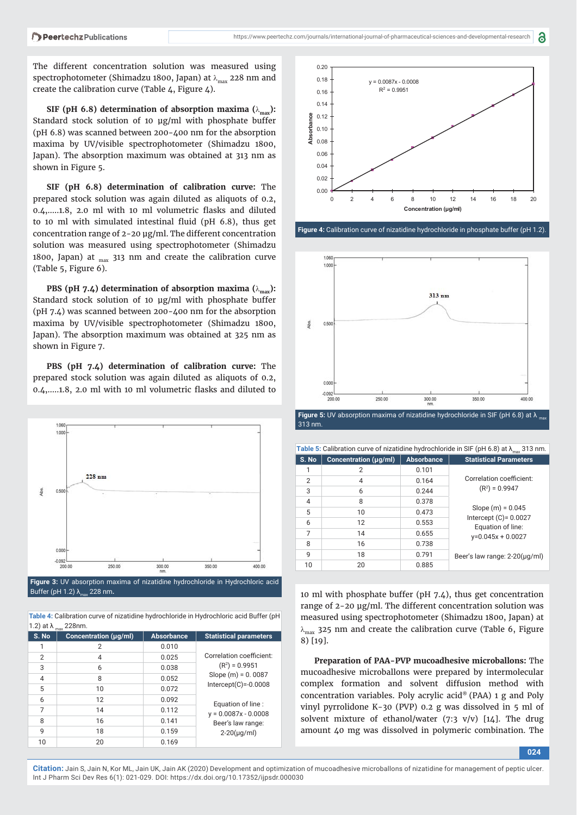The different concentration solution was measured using spectrophotometer (Shimadzu 1800, Japan) at  $\lambda_{\text{max}}$  228 nm and create the calibration curve (Table 4, Figure 4).

**SIF (pH 6.8) determination of absorption maxima (** $\lambda_{\text{max}}$ **):** Standard stock solution of 10 μg/ml with phosphate buffer (pH 6.8) was scanned between 200-400 nm for the absorption maxima by UV/visible spectrophotometer (Shimadzu 1800, Japan). The absorption maximum was obtained at 313 nm as shown in Figure 5.

**SIF (pH 6.8) determination of calibration curve:** The prepared stock solution was again diluted as aliquots of 0.2,  $0.4, \ldots$ 1.8, 2.0 ml with 10 ml volumetric flasks and diluted to 10 ml with simulated intestinal fluid ( $pH$  6.8), thus get concentration range of 2-20 μg/ml. The different concentration solution was measured using spectrophotometer (Shimadzu 1800, Japan) at  $_{\text{max}}$  313 nm and create the calibration curve (Table 5, Figure 6).

**PBS (pH 7.4) determination of absorption maxima (** $\lambda_{\text{max}}$ **):** Standard stock solution of 10 μg/ml with phosphate buffer (pH 7.4) was scanned between 200-400 nm for the absorption maxima by UV/visible spectrophotometer (Shimadzu 1800, Japan). The absorption maximum was obtained at 325 nm as shown in Figure 7.

**PBS (pH 7.4) determination of calibration curve:** The prepared stock solution was again diluted as aliquots of 0.2, 0.4, ... 1.8, 2.0 ml with 10 ml volumetric flasks and diluted to



**Figure 3:** UV absorption maxima of nizatidine hydrochloride in Hydrochloric acid Buffer (pH 1.2) λ<sub>max</sub> 228 nm.

**Table 4:** Calibration curve of nizatidine hydrochloride in Hydrochloric acid Buffer (pH 1.2) at  $\lambda$ <sub>max</sub> 228nm.

| S. No          | Concentration (µg/ml) | <b>Absorbance</b> | <b>Statistical parameters</b> |
|----------------|-----------------------|-------------------|-------------------------------|
| 1              | 2                     | 0.010             |                               |
| $\overline{2}$ | $\overline{4}$        | 0.025             | Correlation coefficient:      |
| 3              | 6                     | 0.038             | $(R2) = 0.9951$               |
| $\overline{4}$ | 8                     | 0.052             | Slope $(m) = 0.0087$          |
| 5              | 10                    | 0.072             | Intercept $(C)$ =-0.0008      |
| 6              | 12                    | 0.092             | Equation of line:             |
| 7              | 14                    | 0.112             | $y = 0.0087x - 0.0008$        |
| 8              | 16                    | 0.141             | Beer's law range:             |
| 9              | 18                    | 0.159             | $2 - 20(\mu q/ml)$            |
| 10             | 20                    | 0.169             |                               |



**Figure 4:** Calibration curve of nizatidine hydrochloride in phosphate buffer (pH 1.2).



313 nm.

| Table 5: Calibration curve of nizatidine hydrochloride in SIF (pH 6.8) at $\lambda_{\text{max}}$ 313 nm. |                       |                   |                                               |  |
|----------------------------------------------------------------------------------------------------------|-----------------------|-------------------|-----------------------------------------------|--|
| S. No                                                                                                    | Concentration (µg/ml) | <b>Absorbance</b> | <b>Statistical Parameters</b>                 |  |
| 1                                                                                                        | 2                     | 0.101             |                                               |  |
| $\overline{2}$                                                                                           | 4                     | 0.164             | Correlation coefficient:                      |  |
| 3                                                                                                        | 6                     | 0.244             | $(R2) = 0.9947$                               |  |
| 4                                                                                                        | 8                     | 0.378             |                                               |  |
| 5                                                                                                        | 10                    | 0.473             | Slope $(m) = 0.045$                           |  |
| 6                                                                                                        | 12                    | 0.553             | Intercept $(C)$ = 0.0027<br>Equation of line: |  |
| 7                                                                                                        | 14                    | 0.655             | $y=0.045x + 0.0027$                           |  |
| 8                                                                                                        | 16                    | 0.738             |                                               |  |
| 9                                                                                                        | 18                    | 0.791             | Beer's law range: $2-20(\mu q/ml)$            |  |
| 10                                                                                                       | 20                    | 0.885             |                                               |  |

10 ml with phosphate buffer (pH 7.4), thus get concentration range of 2-20 μg/ml. The different concentration solution was measured using spectrophotometer (Shimadzu 1800, Japan) at  $\lambda_{\text{max}}$  325 nm and create the calibration curve (Table 6, Figure 8) [19].

**Preparation of PAA-PVP mucoadhesive microballons:** The mucoadhesive microballons were prepared by intermolecular complex formation and solvent diffusion method with concentration variables. Poly acrylic acid® (PAA) 1 g and Poly vinyl pyrrolidone K-30 (PVP) 0.2 g was dissolved in 5 ml of solvent mixture of ethanol/water  $(7:3 \text{ v/v})$  [14]. The drug amount 40 mg was dissolved in polymeric combination. The

**024**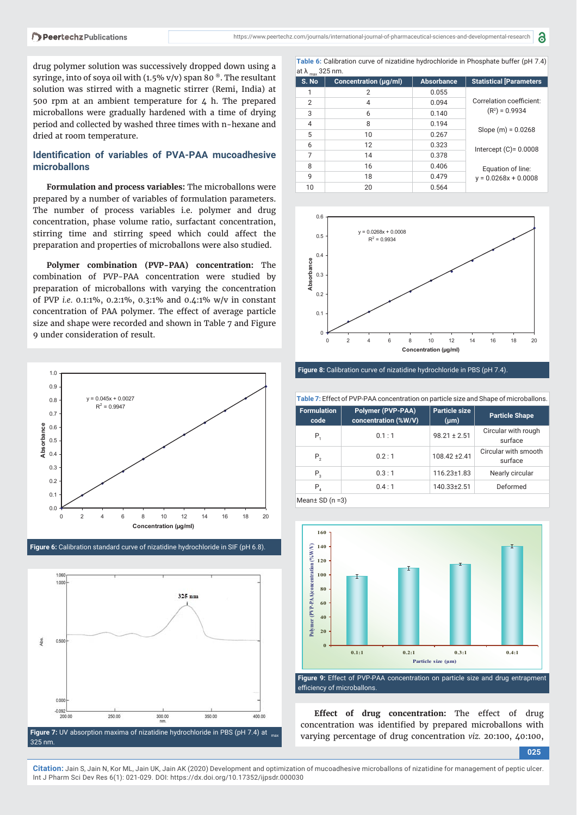drug polymer solution was successively dropped down using a syringe, into of soya oil with (1.5% v/v) span 80 $^{\circ}$ . The resultant solution was stirred with a magnetic stirrer (Remi, India) at 500 rpm at an ambient temperature for  $4$  h. The prepared microballons were gradually hardened with a time of drying period and collected by washed three times with n-hexane and dried at room temperature.

#### **Identifi cation of variables of PVA-PAA mucoadhesive microballons**

**Formulation and process variables:** The microballons were prepared by a number of variables of formulation parameters. The number of process variables i.e. polymer and drug concentration, phase volume ratio, surfactant concentration, stirring time and stirring speed which could affect the preparation and properties of microballons were also studied.

**Polymer combination (PVP-PAA) concentration:** The combination of PVP-PAA concentration were studied by preparation of microballons with varying the concentration of PVP *i.e.* 0.1:1%, 0.2:1%, 0.3:1% and 0.4:1% w/v in constant concentration of PAA polymer. The effect of average particle size and shape were recorded and shown in Table 7 and Figure 9 under consideration of result.



**Figure 6:** Calibration standard curve of nizatidine hydrochloride in SIF (pH 6.8).



**Table 6:** Calibration curve of nizatidine hydrochloride in Phosphate buffer (pH 7.4) at  $\lambda$  325 nm.

| S. No          | Concentration (µg/ml) | <b>Absorbance</b> | <b>Statistical [Parameters</b> |
|----------------|-----------------------|-------------------|--------------------------------|
|                | 2                     | 0.055             |                                |
| $\overline{2}$ | 4                     | 0.094             | Correlation coefficient:       |
| 3              | 6                     | 0.140             | $(R2) = 0.9934$                |
| 4              | 8                     | 0.194             |                                |
| 5              | 10                    | 0.267             | Slope $(m) = 0.0268$           |
| 6              | 12                    | 0.323             | Intercept $(C) = 0.0008$       |
| 7              | 14                    | 0.378             |                                |
| 8              | 16                    | 0.406             | Equation of line:              |
| 9              | 18                    | 0.479             | $y = 0.0268x + 0.0008$         |
| 10             | 20                    | 0.564             |                                |



**Figure 8:** Calibration curve of nizatidine hydrochloride in PBS (pH 7.4).

|                            | Table 7: Effect of PVP-PAA concentration on particle size and Shape of microballons. |                                   |                                 |  |  |
|----------------------------|--------------------------------------------------------------------------------------|-----------------------------------|---------------------------------|--|--|
| <b>Formulation</b><br>code | <b>Polymer (PVP-PAA)</b><br>concentration (%W/V)                                     | <b>Particle size</b><br>$(\mu m)$ | <b>Particle Shape</b>           |  |  |
| $P_{1}$                    | 0.1:1                                                                                | $98.21 \pm 2.51$                  | Circular with rough<br>surface  |  |  |
| $P_{2}$                    | 0.2:1                                                                                | $108.42 \pm 2.41$                 | Circular with smooth<br>surface |  |  |
| $P_{3}$                    | 0.3:1                                                                                | $116.23 \pm 1.83$                 | Nearly circular                 |  |  |
| $P_4$                      | 0.4:1                                                                                | 140.33±2.51                       | Deformed                        |  |  |
| $M0$ an+ $CD(n-2)$         |                                                                                      |                                   |                                 |  |  |

Mean± SD (n =3)



efficiency of microballons.

**Effect of drug concentration:** The effect of drug concentration was identified by prepared microballons with varying percentage of drug concentration *viz.* 20:100, 40:100,

**025**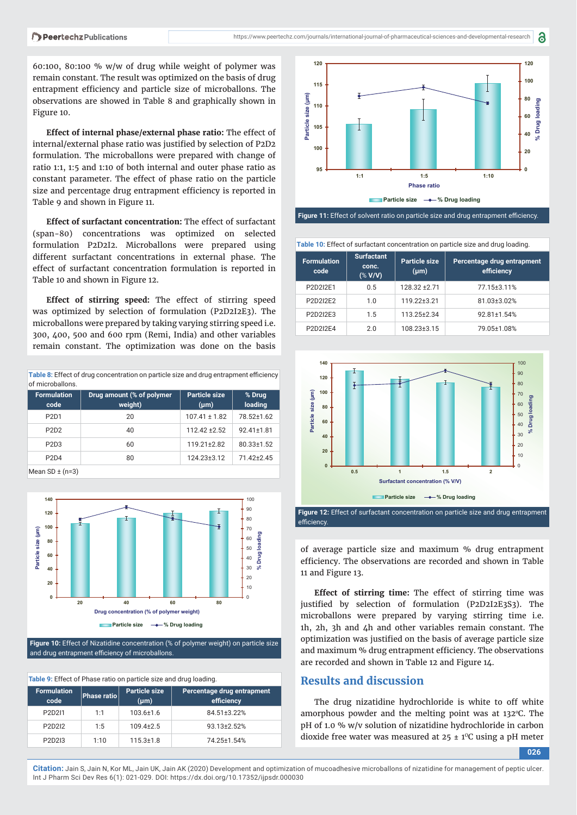60:100, 80:100 % w/w of drug while weight of polymer was remain constant. The result was optimized on the basis of drug entrapment efficiency and particle size of microballons. The observations are showed in Table 8 and graphically shown in Figure 10.

**Effect of internal phase/external phase ratio:** The effect of internal/external phase ratio was justified by selection of P2D2 formulation. The microballons were prepared with change of ratio 1:1, 1:5 and 1:10 of both internal and outer phase ratio as constant parameter. The effect of phase ratio on the particle size and percentage drug entrapment efficiency is reported in Table 9 and shown in Figure 11.

**Effect of surfactant concentration:** The effect of surfactant (span-80) concentrations was optimized on selected formulation P2D2I2. Microballons were prepared using different surfactant concentrations in external phase. The effect of surfactant concentration formulation is reported in Table 10 and shown in Figure 12.

**Effect of stirring speed:** The effect of stirring speed was optimized by selection of formulation (P2D2I2E3). The microballons were prepared by taking varying stirring speed i.e. 300, 400, 500 and 600 rpm (Remi, India) and other variables remain constant. The optimization was done on the basis

| Table 8: Effect of drug concentration on particle size and drug entrapment efficiency |  |
|---------------------------------------------------------------------------------------|--|
| of microballons.                                                                      |  |

| <b>Formulation</b><br>code    | Drug amount (% of polymer<br>weight) | Particle size<br>$(\mu m)$ | % Drug<br>loading |
|-------------------------------|--------------------------------------|----------------------------|-------------------|
| P <sub>2</sub> D <sub>1</sub> | 20                                   | $107.41 \pm 1.82$          | 78.52±1.62        |
| P <sub>2</sub> D <sub>2</sub> | 40                                   | $112.42 \pm 2.52$          | 92.41±1.81        |
| P <sub>2</sub> D <sub>3</sub> | 60                                   | $119.21 \pm 2.82$          | $80.33 \pm 1.52$  |
| P <sub>2</sub> D <sub>4</sub> | 80                                   | 124.23±3.12                | $71.42 + 2.45$    |
| $M_{\rm con}$ CD $\pm$ (n=2)  |                                      |                            |                   |

Mean  $SD \pm (n=3)$ 



**Figure 10:** Effect of Nizatidine concentration (% of polymer weight) on particle size and drug entrapment efficiency of microballons.

| Table 9: Effect of Phase ratio on particle size and drug loading. |             |                            |                                          |  |
|-------------------------------------------------------------------|-------------|----------------------------|------------------------------------------|--|
| <b>Formulation</b><br>code                                        | Phase ratio | Particle size<br>$(\mu m)$ | Percentage drug entrapment<br>efficiency |  |
| P <sub>2</sub> D <sub>2</sub> <sup>1</sup>                        | 1:1         | $103.6 \pm 1.6$            | 84.51±3.22%                              |  |
| P2D2I2                                                            | 1:5         | $109.4 + 2.5$              | 93.13+2.52%                              |  |
| P2D2I3                                                            | 1:10        | $115.3 \pm 1.8$            | 74.25±1.54%                              |  |



a

Figure 11: Effect of solvent ratio on particle size and drug entrapment efficiency.

**Table 10:** Effect of surfactant concentration on particle size and drug loading.

| <b>Formulation</b><br>code | <b>Surfactant</b><br>conc.<br>$(*V/V)$ | Particle size<br>$(\mu m)$ | Percentage drug entrapment<br>efficiency |
|----------------------------|----------------------------------------|----------------------------|------------------------------------------|
| P2D2I2E1                   | 0.5                                    | 128.32 ± 2.71              | 77.15±3.11%                              |
| P2D2I2E2                   | 1.0                                    | 119.22±3.21                | 81.03±3.02%                              |
| P2D2I2E3                   | 1.5                                    | 113.25±2.34                | 92.81±1.54%                              |
| P2D2I2E4                   | 2 በ                                    | 108.23±3.15                | 79.05±1.08%                              |



**Figure 12:** Effect of surfactant concentration on particle size and drug entrapment efficiency.

of average particle size and maximum % drug entrapment efficiency. The observations are recorded and shown in Table 11 and Figure 13.

**Effect of stirring time:** The effect of stirring time was justified by selection of formulation (P2D2I2E3S3). The microballons were prepared by varying stirring time i.e. 1h, 2h, 3h and 4h and other variables remain constant. The optimization was justified on the basis of average particle size and maximum % drug entrapment efficiency. The observations are recorded and shown in Table 12 and Figure 14.

# **Results and discussion**

The drug nizatidine hydrochloride is white to off white amorphous powder and the melting point was at  $132^{\circ}$ C. The pH of 1.0 % w/v solution of nizatidine hydrochloride in carbon dioxide free water was measured at  $25 \pm 1$ <sup>o</sup>C using a pH meter

**026**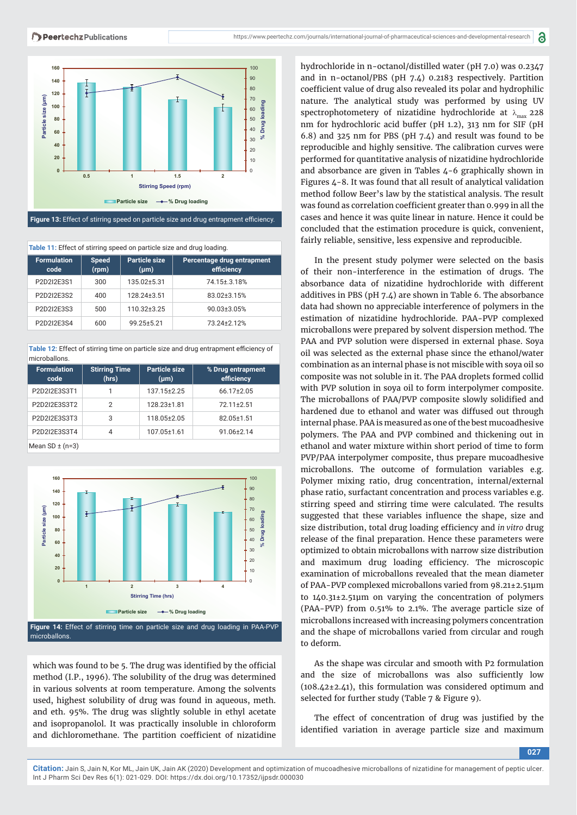



Figure 13: Effect of stirring speed on particle size and drug entrapment efficiency.

| Table 11: Effect of stirring speed on particle size and drug loading. |                       |                            |                                          |  |
|-----------------------------------------------------------------------|-----------------------|----------------------------|------------------------------------------|--|
| <b>Formulation</b><br>code                                            | <b>Speed</b><br>(rpm) | Particle size<br>$(\mu m)$ | Percentage drug entrapment<br>efficiency |  |
| P2D2I2E3S1                                                            | 300                   | 135.02+5.31                | 74.15±.3.18%                             |  |
| P2D2I2E3S2                                                            | 400                   | 128.24±3.51                | 83.02±3.15%                              |  |
| P2D2I2E3S3                                                            | 500                   | 110.32±3.25                | 90.03±3.05%                              |  |
| P2D2I2E3S4                                                            | 600                   | 99.25±5.21                 | 73.24+2.12%                              |  |

**Table 12:** Effect of stirring time on particle size and drug entrapment efficiency of microballons.

| <b>Formulation</b><br>code | <b>Stirring Time</b><br>(hrs) | <b>Particle size</b><br>$(\mu m)$ | % Drug entrapment<br>efficiency |
|----------------------------|-------------------------------|-----------------------------------|---------------------------------|
| P2D2I2E3S3T1               |                               | 137.15±2.25                       | $66.17 \pm 2.05$                |
| P2D2I2E3S3T2               | $\overline{2}$                | 128.23±1.81                       | 72.11±2.51                      |
| P2D2I2E3S3T3               | 3                             | 118.05±2.05                       | 82.05±1.51                      |
| P2D2I2E3S3T4               | 4                             | 107.05±1.61                       | 91.06±2.14                      |
| Mean $SD \pm (n=3)$        |                               |                                   |                                 |



**Figure 14:** Effect of stirring time on particle size and drug loading in PAA-PVP microballons.

which was found to be 5. The drug was identified by the official method (I.P., 1996). The solubility of the drug was determined in various solvents at room temperature. Among the solvents used, highest solubility of drug was found in aqueous, meth. and eth. 95%. The drug was slightly soluble in ethyl acetate and isopropanolol. It was practically insoluble in chloroform and dichloromethane. The partition coefficient of nizatidine hydrochloride in n-octanol/distilled water (pH 7.0) was 0.2347 and in n-octanol/PBS (pH 7.4) 0.2183 respectively. Partition coefficient value of drug also revealed its polar and hydrophilic nature. The analytical study was performed by using UV spectrophotometery of nizatidine hydrochloride at  $\lambda_{\text{max}}$  228 nm for hydrochloric acid buffer (pH 1.2), 313 nm for SIF (pH 6.8) and 325 nm for PBS (pH 7.4) and result was found to be reproducible and highly sensitive. The calibration curves were performed for quantitative analysis of nizatidine hydrochloride and absorbance are given in Tables 4-6 graphically shown in Figures 4-8. It was found that all result of analytical validation method follow Beer's law by the statistical analysis. The result was found as correlation coefficient greater than 0.999 in all the cases and hence it was quite linear in nature. Hence it could be concluded that the estimation procedure is quick, convenient, fairly reliable, sensitive, less expensive and reproducible.

In the present study polymer were selected on the basis of their non-interference in the estimation of drugs. The absorbance data of nizatidine hydrochloride with different additives in PBS (pH 7.4) are shown in Table 6. The absorbance data had shown no appreciable interference of polymers in the estimation of nizatidine hydrochloride. PAA-PVP complexed microballons were prepared by solvent dispersion method. The PAA and PVP solution were dispersed in external phase. Soya oil was selected as the external phase since the ethanol/water combination as an internal phase is not miscible with soya oil so composite was not soluble in it. The PAA droplets formed collid with PVP solution in soya oil to form interpolymer composite. The microballons of PAA/PVP composite slowly solidified and hardened due to ethanol and water was diffused out through internal phase. PAA is measured as one of the best mucoadhesive polymers. The PAA and PVP combined and thickening out in ethanol and water mixture within short period of time to form PVP/PAA interpolymer composite, thus prepare mucoadhesive microballons. The outcome of formulation variables e.g. Polymer mixing ratio, drug concentration, internal/external phase ratio, surfactant concentration and process variables e.g. stirring speed and stirring time were calculated. The results suggested that these variables influence the shape, size and size distribution, total drug loading efficiency and *in vitro* drug release of the final preparation. Hence these parameters were optimized to obtain microballons with narrow size distribution and maximum drug loading efficiency. The microscopic examination of microballons revealed that the mean diameter of PAA-PVP complexed microballons varied from 98.21±2.51μm to 140.31±2.51μm on varying the concentration of polymers (PAA-PVP) from 0.51% to 2.1%. The average particle size of microballons increased with increasing polymers concentration and the shape of microballons varied from circular and rough to deform.

As the shape was circular and smooth with P2 formulation and the size of microballons was also sufficiently low (108.42±2.41), this formulation was considered optimum and selected for further study (Table 7 & Figure 9).

The effect of concentration of drug was justified by the identified variation in average particle size and maximum

**027**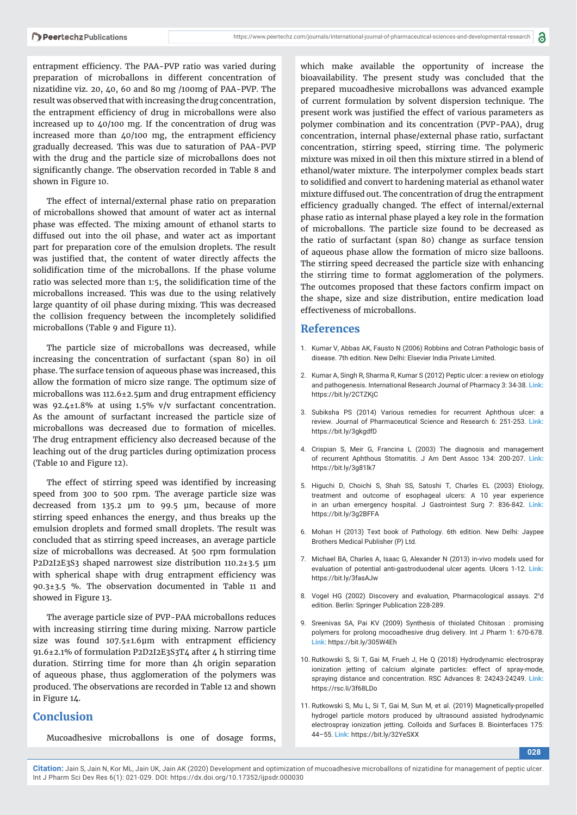entrapment efficiency. The PAA-PVP ratio was varied during preparation of microballons in different concentration of nizatidine viz. 20, 40, 60 and 80 mg /100mg of PAA-PVP. The result was observed that with increasing the drug concentration, the entrapment efficiency of drug in microballons were also increased up to 40/100 mg. If the concentration of drug was increased more than  $40/100$  mg, the entrapment efficiency gradually decreased. This was due to saturation of PAA-PVP with the drug and the particle size of microballons does not significantly change. The observation recorded in Table 8 and shown in Figure 10.

The effect of internal/external phase ratio on preparation of microballons showed that amount of water act as internal phase was effected. The mixing amount of ethanol starts to diffused out into the oil phase, and water act as important part for preparation core of the emulsion droplets. The result was justified that, the content of water directly affects the solidification time of the microballons. If the phase volume ratio was selected more than 1:5, the solidification time of the microballons increased. This was due to the using relatively large quantity of oil phase during mixing. This was decreased the collision frequency between the incompletely solidified microballons (Table 9 and Figure 11).

The particle size of microballons was decreased, while increasing the concentration of surfactant (span 80) in oil phase. The surface tension of aqueous phase was increased, this allow the formation of micro size range. The optimum size of microballons was  $112.6 \pm 2.5 \mu m$  and drug entrapment efficiency was 92.4±1.8% at using 1.5% v/v surfactant concentration. As the amount of surfactant increased the particle size of microballons was decreased due to formation of micelles. The drug entrapment efficiency also decreased because of the leaching out of the drug particles during optimization process (Table 10 and Figure 12).

The effect of stirring speed was identified by increasing speed from 300 to 500 rpm. The average particle size was decreased from 135.2 μm to 99.5 μm, because of more stirring speed enhances the energy, and thus breaks up the emulsion droplets and formed small droplets. The result was concluded that as stirring speed increases, an average particle size of microballons was decreased. At 500 rpm formulation P2D2I2E3S3 shaped narrowest size distribution 110.2±3.5 μm with spherical shape with drug entrapment efficiency was 90.3±3.5 %. The observation documented in Table 11 and showed in Figure 13.

The average particle size of PVP-PAA microballons reduces with increasing stirring time during mixing. Narrow particle size was found  $107.5 \pm 1.6 \mu m$  with entrapment efficiency 91.6±2.1% of formulation P2D2I2E3S3T4 after 4 h stirring time duration. Stirring time for more than 4h origin separation of aqueous phase, thus agglomeration of the polymers was produced. The observations are recorded in Table 12 and shown in Figure 14.

## **Conclusion**

Mucoadhesive microballons is one of dosage forms,

which make available the opportunity of increase the bioavailability. The present study was concluded that the prepared mucoadhesive microballons was advanced example of current formulation by solvent dispersion technique. The present work was justified the effect of various parameters as polymer combination and its concentration (PVP-PAA), drug concentration, internal phase/external phase ratio, surfactant concentration, stirring speed, stirring time. The polymeric mixture was mixed in oil then this mixture stirred in a blend of ethanol/water mixture. The interpolymer complex beads start to solidified and convert to hardening material as ethanol water mixture diffused out. The concentration of drug the entrapment efficiency gradually changed. The effect of internal/external phase ratio as internal phase played a key role in the formation of microballons. The particle size found to be decreased as the ratio of surfactant (span 80) change as surface tension of aqueous phase allow the formation of micro size balloons. The stirring speed decreased the particle size with enhancing the stirring time to format agglomeration of the polymers. The outcomes proposed that these factors confirm impact on the shape, size and size distribution, entire medication load effectiveness of microballons.

#### **References**

- 1. Kumar V, Abbas AK, Fausto N (2006) Robbins and Cotran Pathologic basis of disease. 7th edition. New Delhi: Elsevier India Private Limited.
- 2. Kumar A, Singh R, Sharma R, Kumar S (2012) Peptic ulcer: a review on etiology and pathogenesis. International Research Journal of Pharmacy 3: 34-38. **Link:** https://bit.ly/2CTZKjC
- 3. Subiksha PS (2014) Various remedies for recurrent Aphthous ulcer: a review. Journal of Pharmaceutical Science and Research 6: 251-253. **Link:** https://bit.ly/3gkgdfD
- 4. Crispian S, Meir G, Francina L (2003) The diagnosis and management of recurrent Aphthous Stomatitis. J Am Dent Assoc 134: 200-207. **Link:** https://bit.ly/3g81lk7
- 5. Higuchi D, Choichi S, Shah SS, Satoshi T, Charles EL (2003) Etiology, treatment and outcome of esophageal ulcers: A 10 year experience in an urban emergency hospital. J Gastrointest Surg 7: 836-842. **Link:** https://bit.ly/3g2BFFA
- 6. Mohan H (2013) Text book of Pathology. 6th edition. New Delhi: Jaypee Brothers Medical Publisher (P) Ltd.
- 7. Michael BA, Charles A, Isaac G, Alexander N (2013) in-vivo models used for evaluation of potential anti-gastroduodenal ulcer agents. Ulcers 1-12. **Link:** https://bit.ly/3fasAJw
- 8. Vogel HG (2002) Discovery and evaluation, Pharmacological assays. 2<sup>n</sup>d edition. Berlin: Springer Publication 228-289.
- 9. Sreenivas SA, Pai KV (2009) Synthesis of thiolated Chitosan : promising polymers for prolong mocoadhesive drug delivery. Int J Pharm 1: 670-678. **Link:** https://bit.ly/305W4Eh
- 10. Rutkowski S, Si T, Gai M, Frueh J, He Q (2018) Hydrodynamic electrospray ionization jetting of calcium alginate particles: effect of spray-mode, spraying distance and concentration. RSC Advances 8: 24243-24249. **Link:**  https://rsc.li/3f68LDo
- 11. Rutkowski S, Mu L, Si T, Gai M, Sun M, et al. (2019) Magnetically-propelled hydrogel particle motors produced by ultrasound assisted hydrodynamic electrospray ionization jetting. Colloids and Surfaces B. Biointerfaces 175: 44–55. **Link:** https://bit.ly/32YeSXX

**028**